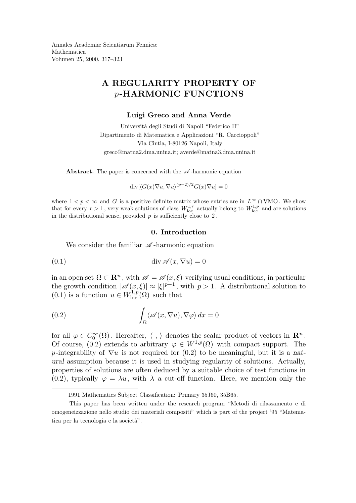Annales Academiæ Scientiarum Fennicæ Mathematica Volumen 25, 2000, 317–323

# A REGULARITY PROPERTY OF p-HARMONIC FUNCTIONS

#### Luigi Greco and Anna Verde

Universit`a degli Studi di Napoli "Federico II" Dipartimento di Matematica e Applicazioni "R. Caccioppoli" Via Cintia, I-80126 Napoli, Italy greco@matna2.dma.unina.it; averde@matna3.dma.unina.it

Abstract. The paper is concerned with the  $\mathscr A$ -harmonic equation

 $\operatorname{div}[\langle G(x)\nabla u,\nabla u\rangle^{(p-2)/2}G(x)\nabla u]=0$ 

where  $1 < p < \infty$  and G is a positive definite matrix whose entries are in  $L^{\infty} \cap VMO$ . We show that for every  $r > 1$ , very weak solutions of class  $W^{1,r}_{loc}$  actually belong to  $W^{1,p}_{loc}$  and are solutions in the distributional sense, provided  $p$  is sufficiently close to  $2$ .

## 0. Introduction

We consider the familiar  $\mathscr A$ -harmonic equation

(0.1) div A (x, ∇u) = 0

in an open set  $\Omega \subset \mathbb{R}^n$ , with  $\mathscr{A} = \mathscr{A}(x, \xi)$  verifying usual conditions, in particular the growth condition  $|\mathscr{A}(x,\xi)| \approx |\xi|^{p-1}$ , with  $p > 1$ . A distributional solution to  $(0.1)$  is a function  $u \in W^{1,p}_{\text{loc}}$  $\int_{\text{loc}}^{1,p}(\Omega)$  such that

(0.2) 
$$
\int_{\Omega} \langle \mathscr{A}(x, \nabla u), \nabla \varphi \rangle dx = 0
$$

for all  $\varphi \in C_0^{\infty}(\Omega)$ . Hereafter,  $\langle , \rangle$  denotes the scalar product of vectors in  $\mathbb{R}^n$ . Of course, (0.2) extends to arbitrary  $\varphi \in W^{1,p}(\Omega)$  with compact support. The p-integrability of  $\nabla u$  is not required for (0.2) to be meaningful, but it is a natural assumption because it is used in studying regularity of solutions. Actually, properties of solutions are often deduced by a suitable choice of test functions in  $(0.2)$ , typically  $\varphi = \lambda u$ , with  $\lambda$  a cut-off function. Here, we mention only the

<sup>1991</sup> Mathematics Subject Classification: Primary 35J60, 35B65.

This paper has been written under the research program "Metodi di rilassamento e di omogeneizzazione nello studio dei materiali compositi" which is part of the project '95 "Matematica per la tecnologia e la società".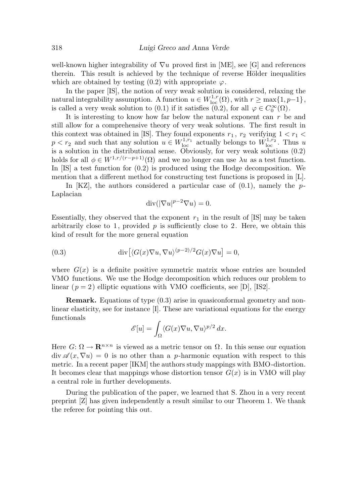well-known higher integrability of  $\nabla u$  proved first in [ME], see [G] and references therein. This result is achieved by the technique of reverse Hölder inequalities which are obtained by testing (0.2) with appropriate  $\varphi$ .

In the paper [IS], the notion of very weak solution is considered, relaxing the natural integrability assumption. A function  $u \in W^{1,r}_{loc}$  $\lim_{\log \mathcal{C}} \{1, p-1\},\$ is called a very weak solution to (0.1) if it satisfies (0.2), for all  $\varphi \in C_0^{\infty}(\Omega)$ .

It is interesting to know how far below the natural exponent can  $r$  be and still allow for a comprehensive theory of very weak solutions. The first result in this context was obtained in [IS]. They found exponents  $r_1$ ,  $r_2$  verifying  $1 < r_1 <$  $p < r_2$  and such that any solution  $u \in W^{1,r_1}_{loc}$  $\mathcal{W}_{\text{loc}}^{1,r_1}$  actually belongs to  $W_{\text{loc}}^{1,r_2}$  $\int_{\text{loc}}^{1,T_2}$ . Thus u is a solution in the distributional sense. Obviously, for very weak solutions (0.2) holds for all  $\phi \in W^{1,r/(r-p+1)}(\Omega)$  and we no longer can use  $\lambda u$  as a test function. In [IS] a test function for (0.2) is produced using the Hodge decomposition. We mention that a different method for constructing test functions is proposed in [L].

In  $[KZ]$ , the authors considered a particular case of  $(0.1)$ , namely the p-Laplacian

$$
\operatorname{div}(|\nabla u|^{p-2}\nabla u) = 0.
$$

Essentially, they observed that the exponent  $r_1$  in the result of [IS] may be taken arbitrarily close to 1, provided  $p$  is sufficiently close to 2. Here, we obtain this kind of result for the more general equation

(0.3) 
$$
\operatorname{div} \left[ \langle G(x) \nabla u, \nabla u \rangle^{(p-2)/2} G(x) \nabla u \right] = 0,
$$

where  $G(x)$  is a definite positive symmetric matrix whose entries are bounded VMO functions. We use the Hodge decomposition which reduces our problem to linear  $(p = 2)$  elliptic equations with VMO coefficients, see [D], [IS2].

Remark. Equations of type (0.3) arise in quasiconformal geometry and nonlinear elasticity, see for instance [I]. These are variational equations for the energy functionals

$$
\mathscr{E}[u] = \int_{\Omega} \langle G(x) \nabla u, \nabla u \rangle^{p/2} dx.
$$

Here  $G: \Omega \to \mathbf{R}^{n \times n}$  is viewed as a metric tensor on  $\Omega$ . In this sense our equation  $\text{div }\mathscr{A}(x,\nabla u) = 0$  is no other than a p-harmonic equation with respect to this metric. In a recent paper [IKM] the authors study mappings with BMO-distortion. It becomes clear that mappings whose distortion tensor  $G(x)$  is in VMO will play a central role in further developments.

During the publication of the paper, we learned that S. Zhou in a very recent preprint [Z] has given independently a result similar to our Theorem 1. We thank the referee for pointing this out.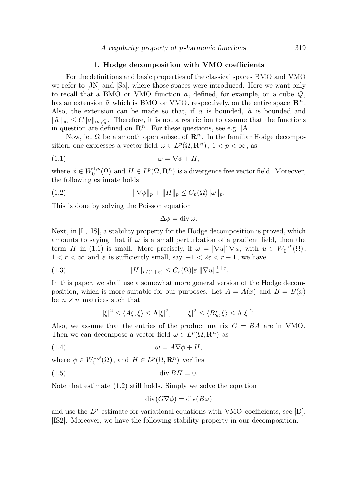### 1. Hodge decomposition with VMO coefficients

For the definitions and basic properties of the classical spaces BMO and VMO we refer to [JN] and [Sa], where those spaces were introduced. Here we want only to recall that a BMO or VMO function  $a$ , defined, for example, on a cube  $Q$ , has an extension  $\tilde{a}$  which is BMO or VMO, respectively, on the entire space  $\mathbb{R}^n$ . Also, the extension can be made so that, if a is bounded,  $\tilde{a}$  is bounded and  $\|\tilde{a}\|_{\infty} \leq C \|a\|_{\infty,Q}$ . Therefore, it is not a restriction to assume that the functions in question are defined on  $\mathbb{R}^n$ . For these questions, see e.g. [A].

Now, let Ω be a smooth open subset of  $\mathbb{R}^n$ . In the familiar Hodge decomposition, one expresses a vector field  $\omega \in L^p(\Omega, \mathbf{R}^n)$ ,  $1 < p < \infty$ , as

$$
(1.1) \t\t \t\t \omega = \nabla \phi + H,
$$

where  $\phi \in W_0^{1,p}$  $L_0^{1,p}(\Omega)$  and  $H \in L^p(\Omega, \mathbf{R}^n)$  is a divergence free vector field. Moreover, the following estimate holds

(1.2) 
$$
\|\nabla \phi\|_p + \|H\|_p \le C_p(\Omega) \|\omega\|_p.
$$

This is done by solving the Poisson equation

$$
\Delta \phi = \operatorname{div} \omega.
$$

Next, in [I], [IS], a stability property for the Hodge decomposition is proved, which amounts to saying that if  $\omega$  is a small perturbation of a gradient field, then the term H in (1.1) is small. More precisely, if  $\omega = |\nabla u|^{\varepsilon} \nabla u$ , with  $u \in W_0^{1,r}$  $\mathcal{L}_0^{1,r}(\Omega),$  $1 < r < \infty$  and  $\varepsilon$  is sufficiently small, say  $-1 < 2\varepsilon < r - 1$ , we have

(1.3) 
$$
||H||_{r/(1+\varepsilon)} \leq C_r(\Omega)|\varepsilon|||\nabla u||_r^{1+\varepsilon}.
$$

In this paper, we shall use a somewhat more general version of the Hodge decomposition, which is more suitable for our purposes. Let  $A = A(x)$  and  $B = B(x)$ be  $n \times n$  matrices such that

$$
|\xi|^2 \le \langle A\xi, \xi \rangle \le \Lambda |\xi|^2, \qquad |\xi|^2 \le \langle B\xi, \xi \rangle \le \Lambda |\xi|^2.
$$

Also, we assume that the entries of the product matrix  $G = BA$  are in VMO. Then we can decompose a vector field  $\omega \in L^p(\Omega, \mathbf{R}^n)$  as

$$
(1.4) \t\t \t\t \omega = A \nabla \phi + H,
$$

where  $\phi \in W_0^{1,p}$  $L^{1,p}(\Omega)$ , and  $H \in L^p(\Omega, \mathbf{R}^n)$  verifies

(1.5) div BH = 0.

Note that estimate (1.2) still holds. Simply we solve the equation

$$
\operatorname{div}(G\nabla\phi) = \operatorname{div}(B\omega)
$$

and use the  $L^p$ -estimate for variational equations with VMO coefficients, see [D], [IS2]. Moreover, we have the following stability property in our decomposition.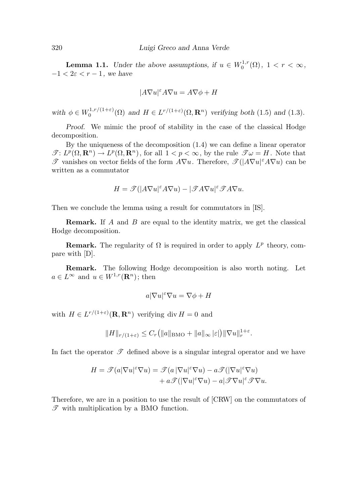**Lemma 1.1.** Under the above assumptions, if  $u \in W_0^{1,r}$  $C_0^{1,r}(\Omega), \ 1 < r < \infty,$  $-1 < 2\varepsilon < r - 1$ , we have

$$
|A\nabla u|^{\varepsilon} A\nabla u = A\nabla \phi + H
$$

with  $\phi \in W_0^{1,r/(1+\varepsilon)}$  $U_0^{1,r/(1+\varepsilon)}(\Omega)$  and  $H \in L^{r/(1+\varepsilon)}(\Omega, \mathbf{R}^n)$  verifying both (1.5) and (1.3).

Proof. We mimic the proof of stability in the case of the classical Hodge decomposition.

By the uniqueness of the decomposition (1.4) we can define a linear operator  $\mathscr{T}: L^p(\Omega, \mathbf{R}^n) \to L^p(\Omega, \mathbf{R}^n)$ , for all  $1 < p < \infty$ , by the rule  $\mathscr{T} \omega = H$ . Note that  $\mathscr{T}$  vanishes on vector fields of the form  $A\nabla u$ . Therefore,  $\mathscr{T}(|A\nabla u|^{\varepsilon}A\nabla u)$  can be written as a commutator

$$
H = \mathscr{T}(|A\nabla u|^{\varepsilon} A \nabla u) - |\mathscr{T} A \nabla u|^{\varepsilon} \mathscr{T} A \nabla u.
$$

Then we conclude the lemma using a result for commutators in [IS].

Remark. If A and B are equal to the identity matrix, we get the classical Hodge decomposition.

**Remark.** The regularity of  $\Omega$  is required in order to apply  $L^p$  theory, compare with [D].

Remark. The following Hodge decomposition is also worth noting. Let  $a \in L^{\infty}$  and  $u \in W^{1,r}(\mathbf{R}^n)$ ; then

$$
a|\nabla u|^{\varepsilon}\nabla u=\nabla \phi+H
$$

with  $H \in L^{r/(1+\varepsilon)}(\mathbf{R}, \mathbf{R}^n)$  verifying div  $H = 0$  and

$$
||H||_{r/(1+\varepsilon)} \leq C_r (||a||_{\text{BMO}} + ||a||_{\infty} |\varepsilon|) ||\nabla u||_r^{1+\varepsilon}.
$$

In fact the operator  $\mathscr T$  defined above is a singular integral operator and we have

$$
H = \mathcal{J}(a|\nabla u|^{\varepsilon}\nabla u) = \mathcal{J}(a|\nabla u|^{\varepsilon}\nabla u) - a\mathcal{J}(|\nabla u|^{\varepsilon}\nabla u) + a\mathcal{J}(|\nabla u|^{\varepsilon}\nabla u) - a|\mathcal{J}\nabla u|^{\varepsilon}\mathcal{J}\nabla u.
$$

Therefore, we are in a position to use the result of [CRW] on the commutators of  $\mathscr T$  with multiplication by a BMO function.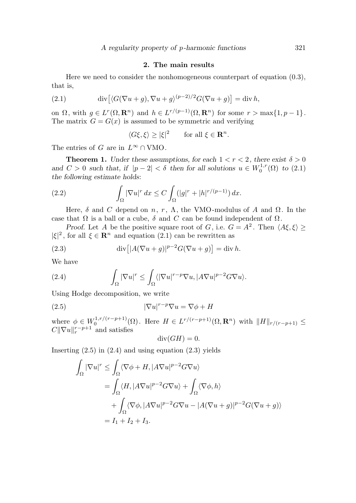# 2. The main results

Here we need to consider the nonhomogeneous counterpart of equation (0.3), that is,

(2.1) 
$$
\operatorname{div}\left[\langle G(\nabla u+g), \nabla u+g \rangle^{(p-2)/2} G(\nabla u+g)\right]=\operatorname{div} h,
$$

on  $\Omega$ , with  $g \in L^r(\Omega, \mathbf{R}^n)$  and  $h \in L^{r/(p-1)}(\Omega, \mathbf{R}^n)$  for some  $r > \max\{1, p-1\}$ . The matrix  $G = G(x)$  is assumed to be symmetric and verifying

 $\langle G\xi, \xi \rangle \ge |\xi|^2$  for all  $\xi \in \mathbf{R}^n$ .

The entries of G are in  $L^{\infty} \cap VMO$ .

**Theorem 1.** Under these assumptions, for each  $1 < r < 2$ , there exist  $\delta > 0$ and  $C > 0$  such that, if  $|p - 2| < \delta$  then for all solutions  $u \in W_0^{1,r}$  $_{0}^{1,r}(\Omega)$  to  $(2.1)$ the following estimate holds:

(2.2) 
$$
\int_{\Omega} |\nabla u|^r dx \leq C \int_{\Omega} (|g|^r + |h|^{r/(p-1)}) dx.
$$

Here,  $\delta$  and C depend on n, r,  $\Lambda$ , the VMO-modulus of A and  $\Omega$ . In the case that  $\Omega$  is a ball or a cube,  $\delta$  and C can be found independent of  $\Omega$ .

*Proof.* Let A be the positive square root of G, i.e.  $G = A^2$ . Then  $\langle A\xi, \xi \rangle \ge$  $|\xi|^2$ , for all  $\xi \in \mathbb{R}^n$  and equation (2.1) can be rewritten as

(2.3) 
$$
\operatorname{div} \left[ |A(\nabla u + g)|^{p-2} G(\nabla u + g) \right] = \operatorname{div} h.
$$

We have

(2.4) 
$$
\int_{\Omega} |\nabla u|^r \leq \int_{\Omega} \langle |\nabla u|^{r-p} \nabla u, |A \nabla u|^{p-2} G \nabla u \rangle.
$$

Using Hodge decomposition, we write

(2.5) 
$$
|\nabla u|^{r-p} \nabla u = \nabla \phi + H
$$

where  $\phi \in W_0^{1,r/(r-p+1)}(\Omega)$ . Here  $H \in L^{r/(r-p+1)}(\Omega, \mathbf{R}^n)$  with  $\|H\|_{r/(r-p+1)} \leq$  $C\|\nabla u\|_{r}^{r-p+1}$  and satisfies

$$
\operatorname{div}(GH) = 0.
$$

Inserting  $(2.5)$  in  $(2.4)$  and using equation  $(2.3)$  yields

$$
\int_{\Omega} |\nabla u|^r \leq \int_{\Omega} \langle \nabla \phi + H, |A \nabla u|^{p-2} G \nabla u \rangle
$$
  
= 
$$
\int_{\Omega} \langle H, |A \nabla u|^{p-2} G \nabla u \rangle + \int_{\Omega} \langle \nabla \phi, h \rangle
$$
  
+ 
$$
\int_{\Omega} \langle \nabla \phi, |A \nabla u|^{p-2} G \nabla u - |A (\nabla u + g)|^{p-2} G (\nabla u + g) \rangle
$$
  
=  $I_1 + I_2 + I_3.$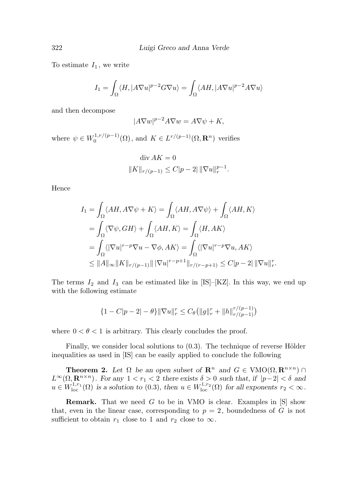To estimate  $I_1$ , we write

$$
I_1 = \int_{\Omega} \langle H, |A\nabla u|^{p-2} G \nabla u \rangle = \int_{\Omega} \langle AH, |A\nabla u|^{p-2} A \nabla u \rangle
$$

and then decompose

$$
|A\nabla w|^{p-2}A\nabla w = A\nabla \psi + K,
$$

where  $\psi \in W_0^{1,r/(p-1)}(\Omega)$ , and  $K \in L^{r/(p-1)}(\Omega, \mathbf{R}^n)$  verifies

$$
\operatorname{div} AK = 0
$$
  

$$
||K||_{r/(p-1)} \le C|p-2| ||\nabla u||_r^{p-1}.
$$

Hence

$$
I_1 = \int_{\Omega} \langle AH, A\nabla\psi + K \rangle = \int_{\Omega} \langle AH, A\nabla\psi \rangle + \int_{\Omega} \langle AH, K \rangle
$$
  
= 
$$
\int_{\Omega} \langle \nabla\psi, GH \rangle + \int_{\Omega} \langle AH, K \rangle = \int_{\Omega} \langle H, AK \rangle
$$
  
= 
$$
\int_{\Omega} \langle |\nabla u|^{r-p} \nabla u - \nabla\phi, AK \rangle = \int_{\Omega} \langle |\nabla u|^{r-p} \nabla u, AK \rangle
$$
  
\$\leq \|A\|\_{\infty} \|K\|\_{r/(p-1)} \| |\nabla u|^{r-p+1} \|\_{r/(r-p+1)} \leq C|p-2| \|\nabla u\|\_{r}^r

The terms  $I_2$  and  $I_3$  can be estimated like in [IS]–[KZ]. In this way, we end up with the following estimate

.

$$
\{1 - C|p - 2| - \theta\} \|\nabla u\|_r^r \le C_\theta \left( \|g\|_r^r + \|h\|_{r/(p-1)}^{r/(p-1)} \right)
$$

where  $0 < \theta < 1$  is arbitrary. This clearly concludes the proof.

Finally, we consider local solutions to  $(0.3)$ . The technique of reverse Hölder inequalities as used in [IS] can be easily applied to conclude the following

**Theorem 2.** Let  $\Omega$  be an open subset of  $\mathbb{R}^n$  and  $G \in VMO(\Omega, \mathbb{R}^{n \times n})$  $L^{\infty}(\Omega, \mathbf{R}^{n \times n})$ . For any  $1 < r_1 < 2$  there exists  $\delta > 0$  such that, if  $|p-2| < \delta$  and  $u \in W^{1,r_1}_{\mathrm{loc}}$  $\mathcal{L}_{\text{loc}}^{1,r_1}(\Omega)$  is a solution to (0.3), then  $u \in W^{1,r_2}_{\text{loc}}$  $\lim_{\log \log \log x}$  for all exponents  $r_2 < \infty$ .

**Remark.** That we need  $G$  to be in VMO is clear. Examples in  $[S]$  show that, even in the linear case, corresponding to  $p = 2$ , boundedness of G is not sufficient to obtain  $r_1$  close to 1 and  $r_2$  close to  $\infty$ .